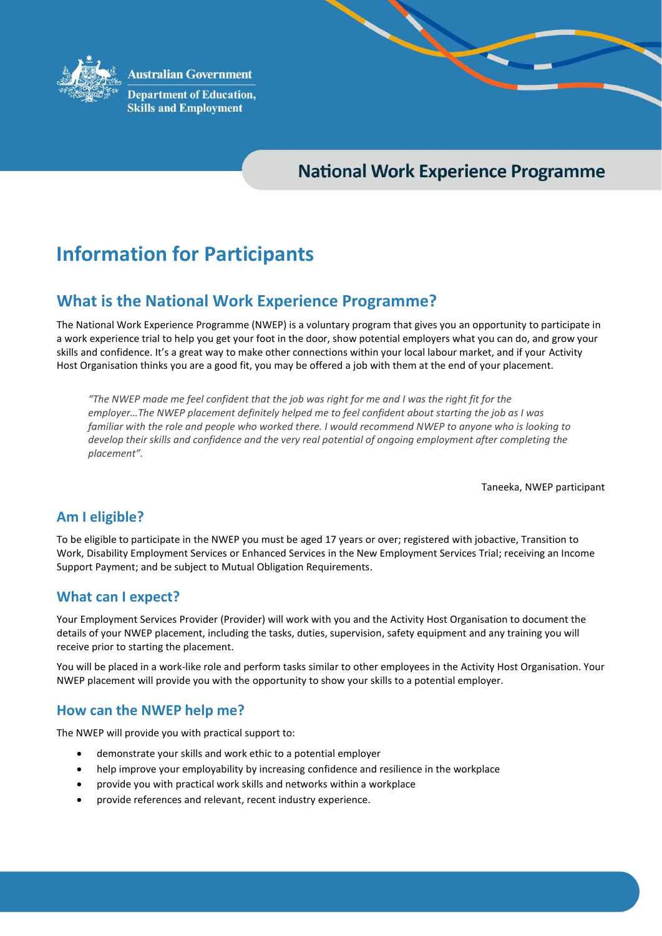

**Australian Government** 

**Department of Education, Skills and Employment** 

## **National Work Experience Programme**

# **Information for Participants**

### **What is the National Work Experience Programme?**

The National Work Experience Programme (NWEP) is a voluntary program that gives you an opportunity to participate in a work experience trial to help you get your foot in the door, show potential employers what you can do, and grow your skills and confidence. It's a great way to make other connections within your local labour market, and if your Activity Host Organisation thinks you are a good fit, you may be offered a job with them at the end of your placement.

*"The NWEP made me feel confident that the job was right for me and I was the right fit for the employer…The NWEP placement definitely helped me to feel confident about starting the job as I was familiar with the role and people who worked there. I would recommend NWEP to anyone who is looking to develop their skills and confidence and the very real potential of ongoing employment after completing the placement".*

Taneeka, NWEP participant

#### **Am I eligible?**

To be eligible to participate in the NWEP you must be aged 17 years or over; registered with jobactive, Transition to Work, Disability Employment Services or Enhanced Services in the New Employment Services Trial; receiving an Income Support Payment; and be subject to Mutual Obligation Requirements.

#### **What can I expect?**

Your Employment Services Provider (Provider) will work with you and the Activity Host Organisation to document the details of your NWEP placement, including the tasks, duties, supervision, safety equipment and any training you will receive prior to starting the placement.

You will be placed in a work-like role and perform tasks similar to other employees in the Activity Host Organisation. Your NWEP placement will provide you with the opportunity to show your skills to a potential employer.

#### **How can the NWEP help me?**

The NWEP will provide you with practical support to:

- demonstrate your skills and work ethic to a potential employer
- help improve your employability by increasing confidence and resilience in the workplace
- provide you with practical work skills and networks within a workplace
- provide references and relevant, recent industry experience.